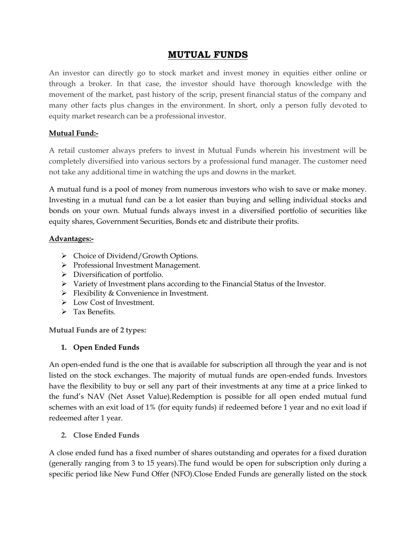# **MUTUAL FUNDS**

An investor can directly go to stock market and invest money in equities either online or through a broker. In that case, the investor should have thorough knowledge with the movement of the market, past history of the scrip, present financial status of the company and many other facts plus changes in the environment. In short, only a person fully devoted to equity market research can be a professional investor.

## **Mutual Fund:-**

A retail customer always prefers to invest in Mutual Funds wherein his investment will be completely diversified into various sectors by a professional fund manager. The customer need not take any additional time in watching the ups and downs in the market.

A mutual fund is a pool of money from numerous investors who wish to save or make money. Investing in a mutual fund can be a lot easier than buying and selling individual stocks and bonds on your own. Mutual funds always invest in a diversified portfolio of securities like equity shares, Government Securities, Bonds etc and distribute their profits.

## **Advantages:-**

- ▶ Choice of Dividend/Growth Options.
- Professional Investment Management.
- > Diversification of portfolio.
- Variety of Investment plans according to the Financial Status of the Investor.
- **Flexibility & Convenience in Investment.**
- > Low Cost of Investment.
- $\triangleright$  Tax Benefits.

**Mutual Funds are of 2 types:**

## **1. Open Ended Funds**

An open-ended fund is the one that is available for subscription all through the year and is not listed on the stock exchanges. The majority of mutual funds are open-ended funds. Investors have the flexibility to buy or sell any part of their investments at any time at a price linked to the fund's NAV (Net Asset Value).Redemption is possible for all open ended mutual fund schemes with an exit load of 1% (for equity funds) if redeemed before 1 year and no exit load if redeemed after 1 year.

## **2. Close Ended Funds**

A close ended fund has a fixed number of shares outstanding and operates for a fixed duration (generally ranging from 3 to 15 years).The fund would be open for subscription only during a specific period like New Fund Offer (NFO).Close Ended Funds are generally listed on the stock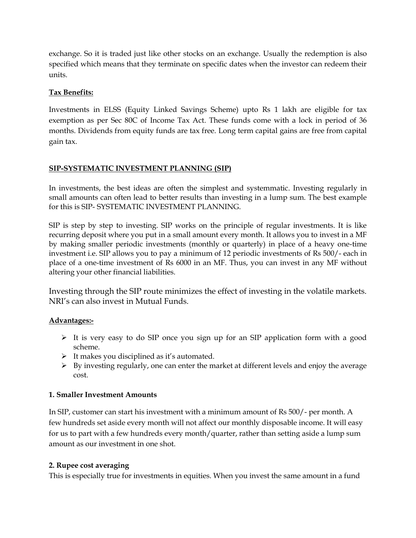exchange. So it is traded just like other stocks on an exchange. Usually the redemption is also specified which means that they terminate on specific dates when the investor can redeem their units.

## **Tax Benefits:**

Investments in ELSS (Equity Linked Savings Scheme) upto Rs 1 lakh are eligible for tax exemption as per Sec 80C of Income Tax Act. These funds come with a lock in period of 36 months. Dividends from equity funds are tax free. Long term capital gains are free from capital gain tax.

## **SIP-SYSTEMATIC INVESTMENT PLANNING (SIP)**

In investments, the best ideas are often the simplest and systemmatic. Investing regularly in small amounts can often lead to better results than investing in a lump sum. The best example for this is SIP- SYSTEMATIC INVESTMENT PLANNING.

SIP is step by step to investing. SIP works on the principle of regular investments. It is like recurring deposit where you put in a small amount every month. It allows you to invest in a MF by making smaller periodic investments (monthly or quarterly) in place of a heavy one-time investment i.e. SIP allows you to pay a minimum of 12 periodic investments of Rs 500/- each in place of a one-time investment of Rs 6000 in an MF. Thus, you can invest in any MF without altering your other financial liabilities.

Investing through the SIP route minimizes the effect of investing in the volatile markets. NRI's can also invest in Mutual Funds.

## **Advantages:-**

- $\triangleright$  It is very easy to do SIP once you sign up for an SIP application form with a good scheme.
- $\triangleright$  It makes you disciplined as it's automated.
- $\triangleright$  By investing regularly, one can enter the market at different levels and enjoy the average cost.

## **1. Smaller Investment Amounts**

In SIP, customer can start his investment with a minimum amount of Rs 500/- per month. A few hundreds set aside every month will not affect our monthly disposable income. It will easy for us to part with a few hundreds every month/quarter, rather than setting aside a lump sum amount as our investment in one shot.

## **2. Rupee cost averaging**

This is especially true for investments in equities. When you invest the same amount in a fund